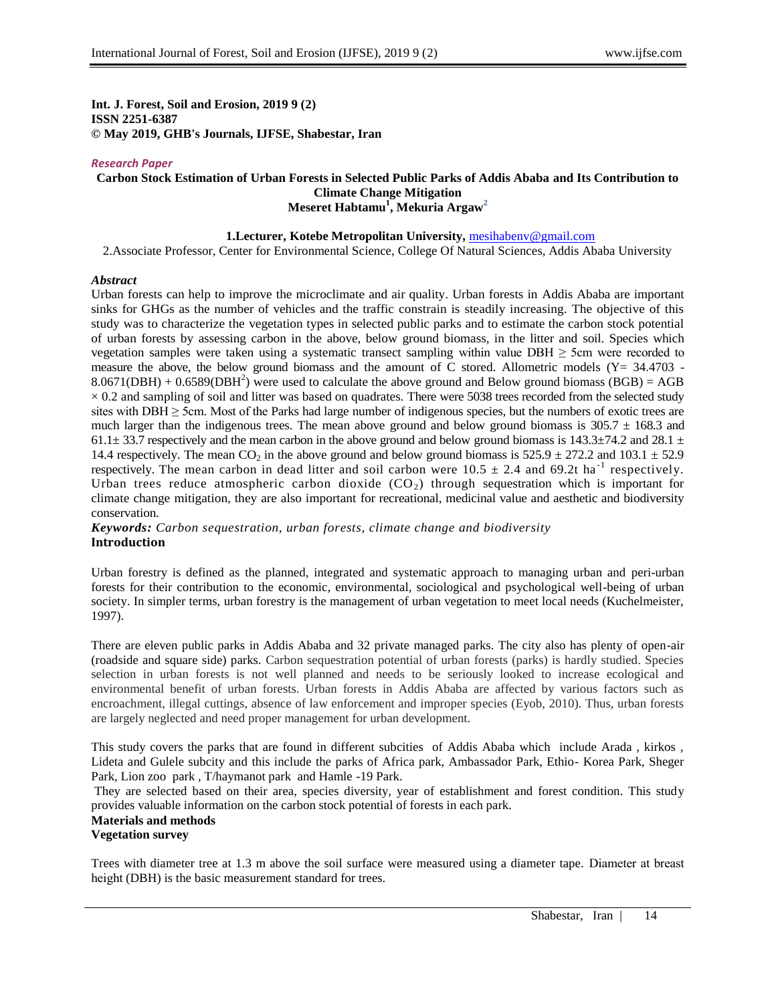**Int. J. Forest, Soil and Erosion, 2019 9 (2) ISSN 2251-6387 © May 2019, GHB's Journals, IJFSE, Shabestar, Iran**

#### *Research Paper*

### **Carbon Stock Estimation of Urban Forests in Selected Public Parks of Addis Ababa and Its Contribution to Climate Change Mitigation Meseret Habtamu<sup>1</sup> , Mekuria Argaw<sup>2</sup>**

## **1.Lecturer, Kotebe Metropolitan University,** [mesihabenv@gmail.com](mailto:mesihabenv@gmail.com)

2.Associate Professor, Center for Environmental Science, College Of Natural Sciences, Addis Ababa University

#### *Abstract*

Urban forests can help to improve the microclimate and air quality. Urban forests in Addis Ababa are important sinks for GHGs as the number of vehicles and the traffic constrain is steadily increasing. The objective of this study was to characterize the vegetation types in selected public parks and to estimate the carbon stock potential of urban forests by assessing carbon in the above, below ground biomass, in the litter and soil. Species which vegetation samples were taken using a systematic transect sampling within value DBH  $\geq$  5cm were recorded to measure the above, the below ground biomass and the amount of  $\tilde{C}$  stored. Allometric models (Y= 34.4703 - $8.0671(DBH) + 0.6589(DBH<sup>2</sup>)$  were used to calculate the above ground and Below ground biomass (BGB) = AGB  $\times$  0.2 and sampling of soil and litter was based on quadrates. There were 5038 trees recorded from the selected study sites with  $DBH \ge 5$ cm. Most of the Parks had large number of indigenous species, but the numbers of exotic trees are much larger than the indigenous trees. The mean above ground and below ground biomass is  $305.7 \pm 168.3$  and 61.1 $\pm$  33.7 respectively and the mean carbon in the above ground and below ground biomass is 143.3 $\pm$ 74.2 and 28.1  $\pm$ 14.4 respectively. The mean CO<sub>2</sub> in the above ground and below ground biomass is  $525.9 \pm 272.2$  and  $103.1 \pm 52.9$ respectively. The mean carbon in dead litter and soil carbon were  $10.5 \pm 2.4$  and 69.2t ha<sup>-1</sup> respectively. Urban trees reduce atmospheric carbon dioxide  $(CO<sub>2</sub>)$  through sequestration which is important for climate change mitigation, they are also important for recreational, medicinal value and aesthetic and biodiversity conservation.

*Keywords: Carbon sequestration, urban forests, climate change and biodiversity* **Introduction**

Urban forestry is defined as the planned, integrated and systematic approach to managing urban and peri-urban forests for their contribution to the economic, environmental, sociological and psychological well-being of urban society. In simpler terms, urban forestry is the management of urban vegetation to meet local needs (Kuchelmeister, 1997).

There are eleven public parks in Addis Ababa and 32 private managed parks. The city also has plenty of open-air (roadside and square side) parks. Carbon sequestration potential of urban forests (parks) is hardly studied. Species selection in urban forests is not well planned and needs to be seriously looked to increase ecological and environmental benefit of urban forests. Urban forests in Addis Ababa are affected by various factors such as encroachment, illegal cuttings, absence of law enforcement and improper species (Eyob, 2010). Thus, urban forests are largely neglected and need proper management for urban development.

This study covers the parks that are found in different subcities of Addis Ababa which include Arada , kirkos , Lideta and Gulele subcity and this include the parks of Africa park, Ambassador Park, Ethio- Korea Park, Sheger Park, Lion zoo park , T/haymanot park and Hamle -19 Park.

They are selected based on their area, species diversity, year of establishment and forest condition. This study provides valuable information on the carbon stock potential of forests in each park.

#### **Materials and methods Vegetation survey**

Trees with diameter tree at 1.3 m above the soil surface were measured using a diameter tape. Diameter at breast height (DBH) is the basic measurement standard for trees.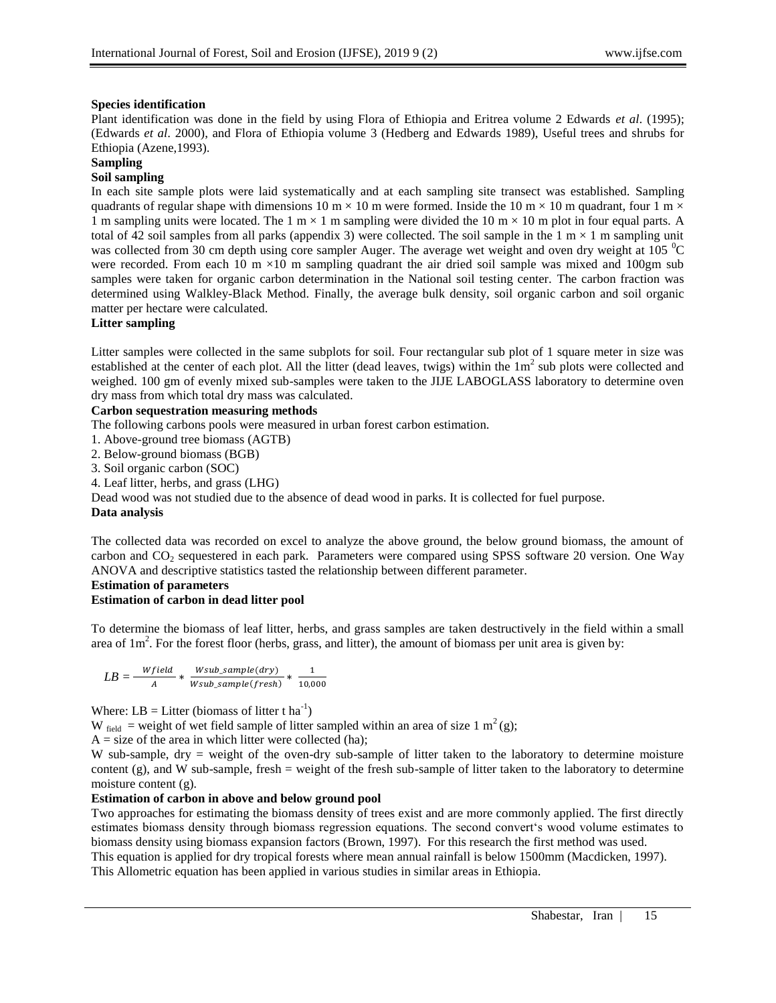# **Species identification**

Plant identification was done in the field by using Flora of Ethiopia and Eritrea volume 2 Edwards *et al*. (1995); (Edwards *et al*. 2000), and Flora of Ethiopia volume 3 (Hedberg and Edwards 1989), Useful trees and shrubs for Ethiopia (Azene,1993).

## **Sampling**

# **Soil sampling**

In each site sample plots were laid systematically and at each sampling site transect was established. Sampling quadrants of regular shape with dimensions 10 m  $\times$  10 m were formed. Inside the 10 m  $\times$  10 m quadrant, four 1 m  $\times$ 1 m sampling units were located. The 1 m  $\times$  1 m sampling were divided the 10 m  $\times$  10 m plot in four equal parts. A total of 42 soil samples from all parks (appendix 3) were collected. The soil sample in the 1  $m \times 1$  m sampling unit was collected from 30 cm depth using core sampler Auger. The average wet weight and oven dry weight at 105 <sup>o</sup>C were recorded. From each 10 m  $\times$ 10 m sampling quadrant the air dried soil sample was mixed and 100gm sub samples were taken for organic carbon determination in the National soil testing center. The carbon fraction was determined using Walkley-Black Method. Finally, the average bulk density, soil organic carbon and soil organic matter per hectare were calculated.

## **Litter sampling**

Litter samples were collected in the same subplots for soil. Four rectangular sub plot of 1 square meter in size was established at the center of each plot. All the litter (dead leaves, twigs) within the  $1m^2$  sub plots were collected and weighed. 100 gm of evenly mixed sub-samples were taken to the JIJE LABOGLASS laboratory to determine oven dry mass from which total dry mass was calculated.

## **Carbon sequestration measuring methods**

The following carbons pools were measured in urban forest carbon estimation.

1. Above-ground tree biomass (AGTB)

2. Below-ground biomass (BGB)

3. Soil organic carbon (SOC)

4. Leaf litter, herbs, and grass (LHG)

Dead wood was not studied due to the absence of dead wood in parks. It is collected for fuel purpose.

## **Data analysis**

The collected data was recorded on excel to analyze the above ground, the below ground biomass, the amount of carbon and CO<sub>2</sub> sequestered in each park. Parameters were compared using SPSS software 20 version. One Way ANOVA and descriptive statistics tasted the relationship between different parameter.

## **Estimation of parameters**

## **Estimation of carbon in dead litter pool**

To determine the biomass of leaf litter, herbs, and grass samples are taken destructively in the field within a small area of  $1m^2$ . For the forest floor (herbs, grass, and litter), the amount of biomass per unit area is given by:

$$
LB = \frac{Wfield}{A} * \frac{Wsub\_sample(dry)}{Wsub\_sample(fresh)} * \frac{1}{10,000}
$$

Where:  $LB =$  Litter (biomass of litter t ha<sup>-1</sup>)

W field = weight of wet field sample of litter sampled within an area of size 1 m<sup>2</sup>(g);

 $A = size of the area in which litter were collected (ha);$ 

W sub-sample, dry = weight of the oven-dry sub-sample of litter taken to the laboratory to determine moisture content  $(g)$ , and W sub-sample, fresh = weight of the fresh sub-sample of litter taken to the laboratory to determine moisture content (g)*.*

## **Estimation of carbon in above and below ground pool**

Two approaches for estimating the biomass density of trees exist and are more commonly applied. The first directly estimates biomass density through biomass regression equations. The second convert"s wood volume estimates to biomass density using biomass expansion factors (Brown, 1997). For this research the first method was used. This equation is applied for dry tropical forests where mean annual rainfall is below 1500mm (Macdicken, 1997). This Allometric equation has been applied in various studies in similar areas in Ethiopia.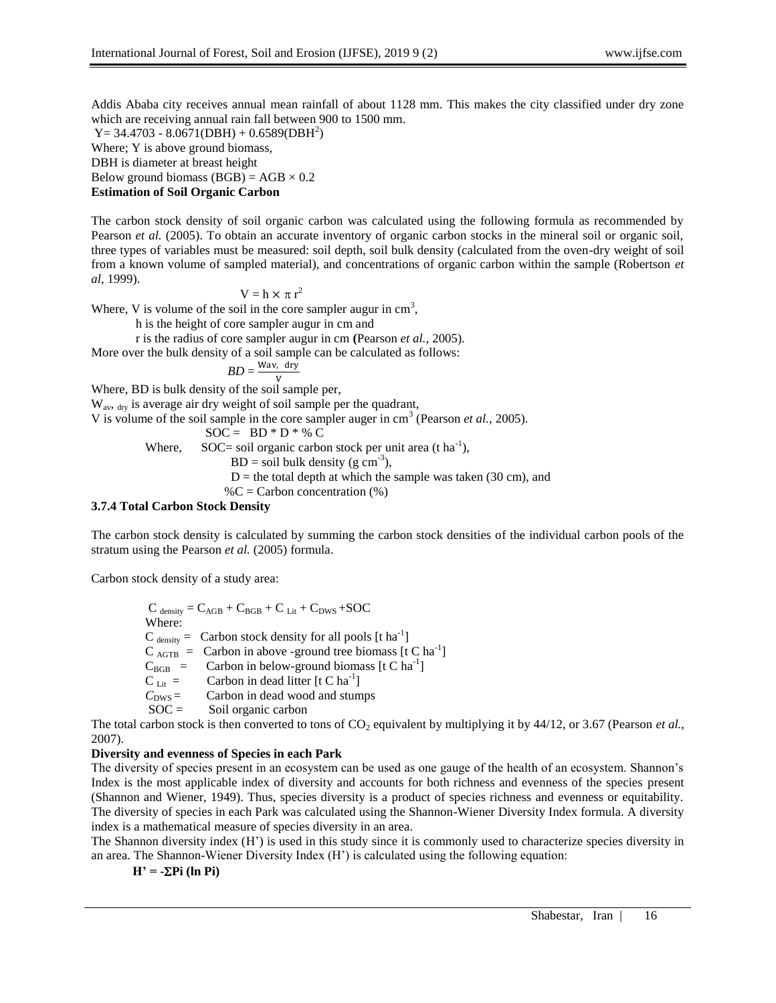Addis Ababa city receives annual mean rainfall of about 1128 mm. This makes the city classified under dry zone which are receiving annual rain fall between 900 to 1500 mm.

 $Y = 34.4703 - 8.0671(DBH) + 0.6589(DBH<sup>2</sup>)$ Where; Y is above ground biomass, DBH is diameter at breast height

Below ground biomass  $(BGB) = AGB \times 0.2$ 

# **Estimation of Soil Organic Carbon**

The carbon stock density of soil organic carbon was calculated using the following formula as recommended by Pearson *et al.* (2005). To obtain an accurate inventory of organic carbon stocks in the mineral soil or organic soil, three types of variables must be measured: soil depth, soil bulk density (calculated from the oven-dry weight of soil from a known volume of sampled material), and concentrations of organic carbon within the sample (Robertson *et al*, 1999).

$$
V = h \times \pi r^2
$$

Where, V is volume of the soil in the core sampler augur in  $cm<sup>3</sup>$ ,

h is the height of core sampler augur in cm and

r is the radius of core sampler augur in cm **(**Pearson *et al.,* 2005)*.* 

More over the bulk density of a soil sample can be calculated as follows:

$$
BD = \frac{Wav, dr}{V}
$$

Where, BD is bulk density of the soil sample per,

W<sub>av</sub>, <sub>dry</sub> is average air dry weight of soil sample per the quadrant,

V is volume of the soil sample in the core sampler auger in cm<sup>3</sup> (Pearson *et al.*, 2005).

$$
SOC = BD * D * % C
$$

Where, SOC= soil organic carbon stock per unit area (t ha<sup>-1</sup>),

 $BD = soil bulk density (g cm<sup>-3</sup>),$ 

 $D =$  the total depth at which the sample was taken (30 cm), and

 $\%C =$  Carbon concentration  $(\%)$ 

# **3.7.4 Total Carbon Stock Density**

The carbon stock density is calculated by summing the carbon stock densities of the individual carbon pools of the stratum using the Pearson *et al.* (2005) formula.

Carbon stock density of a study area:

 $C_{density} = C_{AGB} + C_{BGB} + C_{Lit} + C_{DWS} + SOC$  Where:  $C_{density} =$  Carbon stock density for all pools [t ha<sup>-1</sup>]  $C_{\text{AGTB}} = \text{ Carbon in above-ground tree biomass [t C ha}^{-1}]$  $C_{BGB}$  = Carbon in below-ground biomass [t C ha<sup>-1</sup>]  $C_{\text{Lit}} =$  Carbon in dead litter [t C ha<sup>-1</sup>]  $C<sub>DWS</sub> =$  Carbon in dead wood and stumps<br>SOC = Soil organic carbon Soil organic carbon

The total carbon stock is then converted to tons of  $CO<sub>2</sub>$  equivalent by multiplying it by 44/12, or 3.67 (Pearson *et al.*, 2007).

# **Diversity and evenness of Species in each Park**

The diversity of species present in an ecosystem can be used as one gauge of the health of an ecosystem. Shannon"s Index is the most applicable index of diversity and accounts for both richness and evenness of the species present (Shannon and Wiener, 1949). Thus, species diversity is a product of species richness and evenness or equitability. The diversity of species in each Park was calculated using the Shannon-Wiener Diversity Index formula. A diversity index is a mathematical measure of species diversity in an area.

The Shannon diversity index (H") is used in this study since it is commonly used to characterize species diversity in an area. The Shannon-Wiener Diversity Index (H") is calculated using the following equation:

$$
H' = -\Sigma P i (ln P i)
$$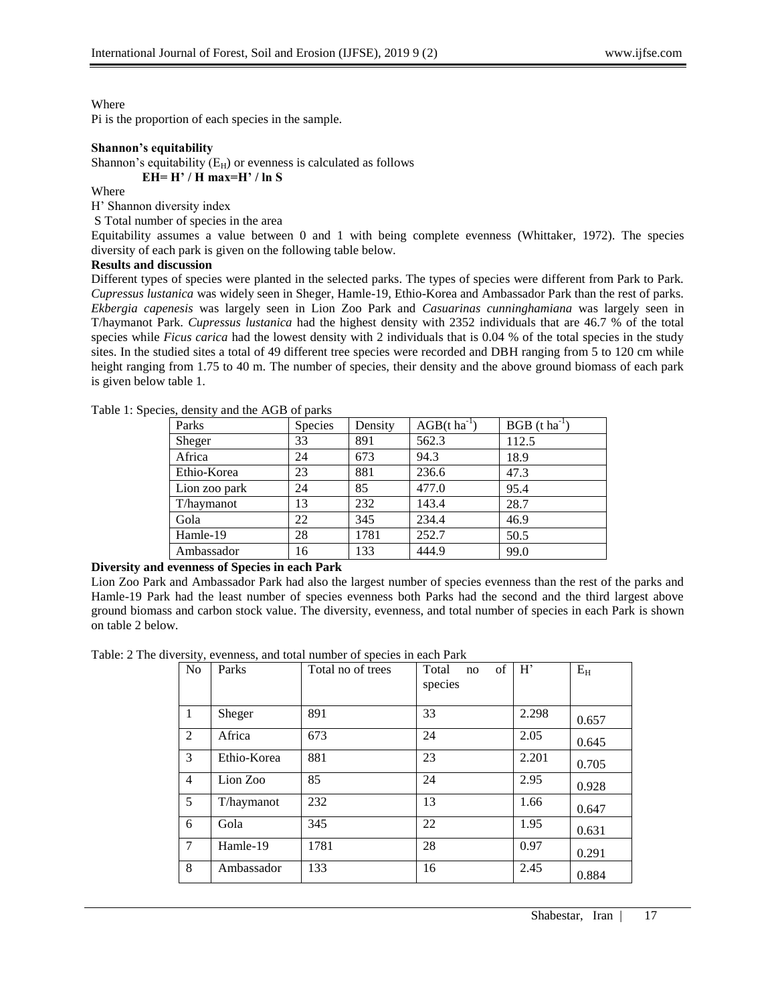## Where

Pi is the proportion of each species in the sample.

#### **Shannon's equitability**

Shannon's equitability  $(E_H)$  or evenness is calculated as follows  **EH= H' / H max=H' / ln S**

Where

H" Shannon diversity index

S Total number of species in the area

Equitability assumes a value between 0 and 1 with being complete evenness (Whittaker, 1972). The species diversity of each park is given on the following table below.

## **Results and discussion**

Different types of species were planted in the selected parks. The types of species were different from Park to Park. *Cupressus lustanica* was widely seen in Sheger, Hamle-19, Ethio-Korea and Ambassador Park than the rest of parks. *Ekbergia capenesis* was largely seen in Lion Zoo Park and *Casuarinas cunninghamiana* was largely seen in T/haymanot Park. *Cupressus lustanica* had the highest density with 2352 individuals that are 46.7 % of the total species while *Ficus carica* had the lowest density with 2 individuals that is 0.04 % of the total species in the study sites. In the studied sites a total of 49 different tree species were recorded and DBH ranging from 5 to 120 cm while height ranging from 1.75 to 40 m. The number of species, their density and the above ground biomass of each park is given below table 1.

| Parks         | Species | Density | $AGB(t \text{ ha}^{-1})$ | $BGB (t ha^{-1})$ |
|---------------|---------|---------|--------------------------|-------------------|
| Sheger        | 33      | 891     | 562.3                    | 112.5             |
| Africa        | 24      | 673     | 94.3                     | 18.9              |
| Ethio-Korea   | 23      | 881     | 236.6                    | 47.3              |
| Lion zoo park | 24      | 85      | 477.0                    | 95.4              |
| T/haymanot    | 13      | 232     | 143.4                    | 28.7              |
| Gola          | 22      | 345     | 234.4                    | 46.9              |
| Hamle-19      | 28      | 1781    | 252.7                    | 50.5              |
| Ambassador    | 16      | 133     | 444.9                    | 99.0              |
|               |         |         |                          |                   |

Table 1: Species, density and the AGB of parks

## **Diversity and evenness of Species in each Park**

Lion Zoo Park and Ambassador Park had also the largest number of species evenness than the rest of the parks and Hamle-19 Park had the least number of species evenness both Parks had the second and the third largest above ground biomass and carbon stock value. The diversity, evenness, and total number of species in each Park is shown on table 2 below.

Table: 2 The diversity, evenness, and total number of species in each Park

| N <sub>o</sub> | Parks       | Total no of trees | of<br>Total<br>no<br>species | H'    | $E_{H}$ |
|----------------|-------------|-------------------|------------------------------|-------|---------|
| 1              | Sheger      | 891               | 33                           | 2.298 | 0.657   |
| 2              | Africa      | 673               | 24                           | 2.05  | 0.645   |
| 3              | Ethio-Korea | 881               | 23                           | 2.201 | 0.705   |
| 4              | Lion Zoo    | 85                | 24                           | 2.95  | 0.928   |
| 5              | T/haymanot  | 232               | 13                           | 1.66  | 0.647   |
| 6              | Gola        | 345               | 22                           | 1.95  | 0.631   |
| 7              | Hamle-19    | 1781              | 28                           | 0.97  | 0.291   |
| 8              | Ambassador  | 133               | 16                           | 2.45  | 0.884   |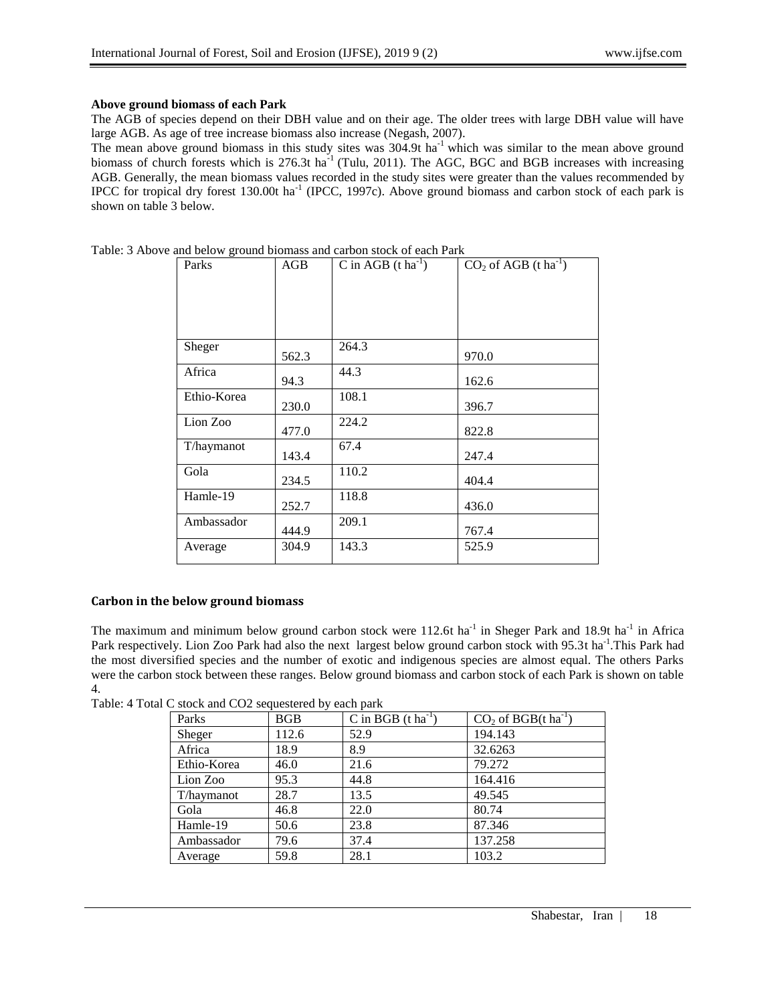## **Above ground biomass of each Park**

The AGB of species depend on their DBH value and on their age. The older trees with large DBH value will have large AGB. As age of tree increase biomass also increase (Negash, 2007).

The mean above ground biomass in this study sites was  $304.9t$  ha<sup>-1</sup> which was similar to the mean above ground biomass of church forests which is 276.3t ha<sup>-1</sup> (Tulu, 2011). The AGC, BGC and BGB increases with increasing AGB. Generally, the mean biomass values recorded in the study sites were greater than the values recommended by IPCC for tropical dry forest 130.00t ha<sup>-1</sup> (IPCC, 1997c). Above ground biomass and carbon stock of each park is shown on table 3 below.

| Parks       | AGB   | C in AGB $(t \text{ ha}^{-1})$ | $CO2$ of AGB (t ha <sup>-1</sup> ) |
|-------------|-------|--------------------------------|------------------------------------|
|             |       |                                |                                    |
|             |       |                                |                                    |
| Sheger      | 562.3 | 264.3                          | 970.0                              |
| Africa      | 94.3  | 44.3                           | 162.6                              |
| Ethio-Korea | 230.0 | 108.1                          | 396.7                              |
| Lion Zoo    | 477.0 | 224.2                          | 822.8                              |
| T/haymanot  | 143.4 | 67.4                           | 247.4                              |
| Gola        | 234.5 | 110.2                          | 404.4                              |
| Hamle-19    | 252.7 | 118.8                          | 436.0                              |
| Ambassador  | 444.9 | 209.1                          | 767.4                              |
| Average     | 304.9 | 143.3                          | 525.9                              |

Table: 3 Above and below ground biomass and carbon stock of each Park

# **Carbon in the below ground biomass**

The maximum and minimum below ground carbon stock were 112.6t ha<sup>-1</sup> in Sheger Park and 18.9t ha<sup>-1</sup> in Africa Park respectively. Lion Zoo Park had also the next largest below ground carbon stock with 95.3t ha<sup>-1</sup>. This Park had the most diversified species and the number of exotic and indigenous species are almost equal. The others Parks were the carbon stock between these ranges. Below ground biomass and carbon stock of each Park is shown on table 4.

Table: 4 Total C stock and CO2 sequestered by each park

| Parks       | <b>BGB</b> | C in BGB $(t \text{ ha}^{-1})$ | $CO2$ of BGB(t ha <sup>-1</sup> ) |
|-------------|------------|--------------------------------|-----------------------------------|
| Sheger      | 112.6      | 52.9                           | 194.143                           |
| Africa      | 18.9       | 8.9                            | 32.6263                           |
| Ethio-Korea | 46.0       | 21.6                           | 79.272                            |
| Lion Zoo    | 95.3       | 44.8                           | 164.416                           |
| T/haymanot  | 28.7       | 13.5                           | 49.545                            |
| Gola        | 46.8       | 22.0                           | 80.74                             |
| Hamle-19    | 50.6       | 23.8                           | 87.346                            |
| Ambassador  | 79.6       | 37.4                           | 137.258                           |
| Average     | 59.8       | 28.1                           | 103.2                             |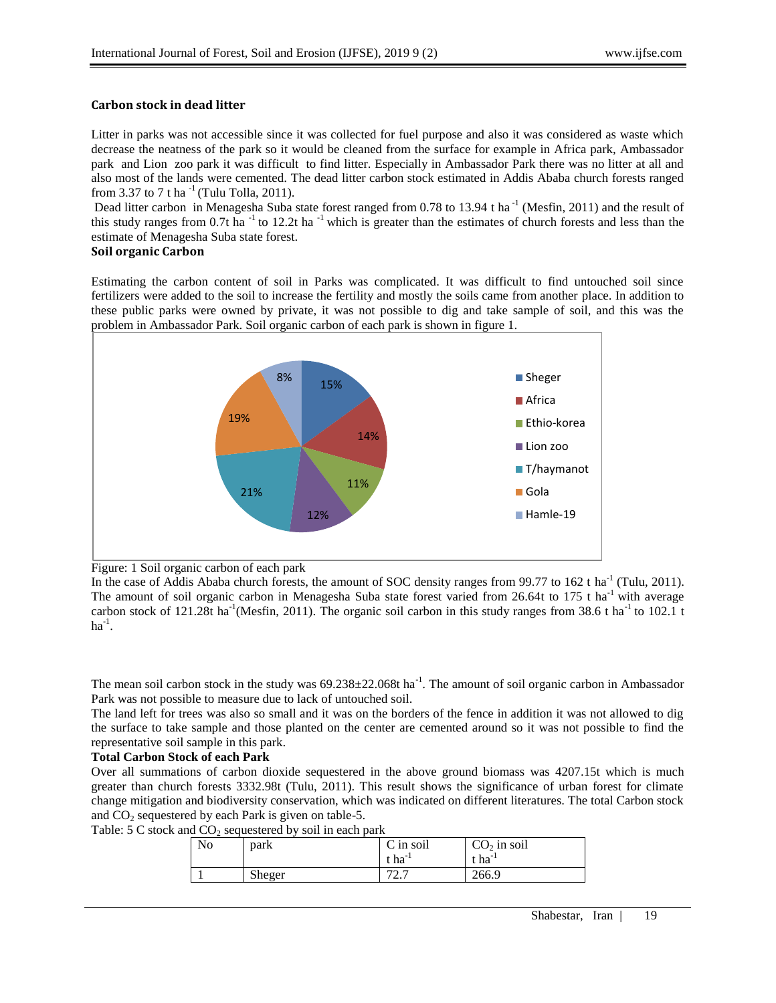## **Carbon stock in dead litter**

Litter in parks was not accessible since it was collected for fuel purpose and also it was considered as waste which decrease the neatness of the park so it would be cleaned from the surface for example in Africa park, Ambassador park and Lion zoo park it was difficult to find litter. Especially in Ambassador Park there was no litter at all and also most of the lands were cemented. The dead litter carbon stock estimated in Addis Ababa church forests ranged from 3.37 to 7 t ha<sup>-1</sup> (Tulu Tolla, 2011).

Dead litter carbon in Menagesha Suba state forest ranged from 0.78 to 13.94 t ha<sup>-1</sup> (Mesfin, 2011) and the result of this study ranges from  $0.7t$  ha<sup>-1</sup> to 12.2t ha<sup>-1</sup> which is greater than the estimates of church forests and less than the estimate of Menagesha Suba state forest.

## **Soil organic Carbon**

Estimating the carbon content of soil in Parks was complicated. It was difficult to find untouched soil since fertilizers were added to the soil to increase the fertility and mostly the soils came from another place. In addition to these public parks were owned by private, it was not possible to dig and take sample of soil, and this was the problem in Ambassador Park. Soil organic carbon of each park is shown in figure 1.



Figure: 1 Soil organic carbon of each park

In the case of Addis Ababa church forests, the amount of SOC density ranges from 99.77 to 162 t ha<sup>-1</sup> (Tulu, 2011). The amount of soil organic carbon in Menagesha Suba state forest varied from 26.64t to 175 t ha<sup>-1</sup> with average carbon stock of 121.28t ha<sup>-1</sup>(Mesfin, 2011). The organic soil carbon in this study ranges from 38.6 t ha<sup>-1</sup> to 102.1 t ha $^{-1}$ .

The mean soil carbon stock in the study was  $69.238 \pm 22.068$ t ha<sup>-1</sup>. The amount of soil organic carbon in Ambassador Park was not possible to measure due to lack of untouched soil.

The land left for trees was also so small and it was on the borders of the fence in addition it was not allowed to dig the surface to take sample and those planted on the center are cemented around so it was not possible to find the representative soil sample in this park.

#### **Total Carbon Stock of each Park**

Over all summations of carbon dioxide sequestered in the above ground biomass was 4207.15t which is much greater than church forests 3332.98t (Tulu, 2011). This result shows the significance of urban forest for climate change mitigation and biodiversity conservation, which was indicated on different literatures. The total Carbon stock and  $CO<sub>2</sub>$  sequestered by each Park is given on table-5.

Table:  $5 \text{ C}$  stock and  $\text{CO}_2$  sequestered by soil in each park

| No | park   | C in soil<br>$\epsilon$ ha <sup>-1</sup> | $CO2$ in soil<br>cha'' |
|----|--------|------------------------------------------|------------------------|
|    | Sheger | $72 -$<br><u>، ، ،</u>                   | 266.9                  |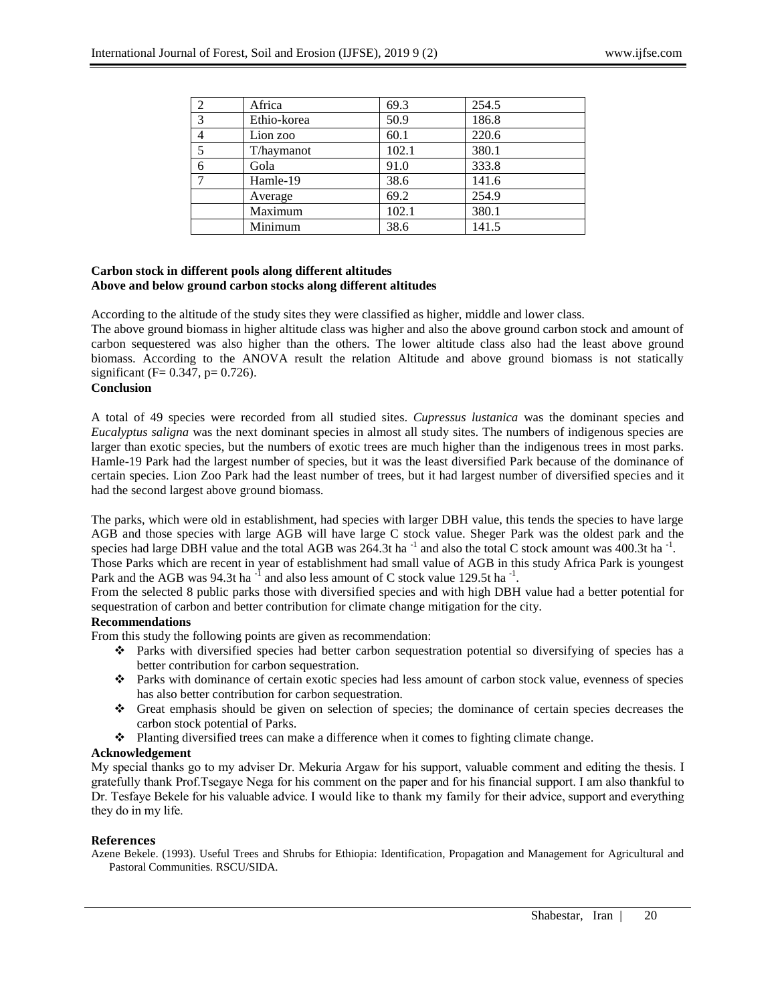|               | Africa      | 69.3  | 254.5 |
|---------------|-------------|-------|-------|
| $\mathcal{R}$ | Ethio-korea | 50.9  | 186.8 |
|               | Lion zoo    | 60.1  | 220.6 |
|               | T/haymanot  | 102.1 | 380.1 |
| 6             | Gola        | 91.0  | 333.8 |
|               | Hamle-19    | 38.6  | 141.6 |
|               | Average     | 69.2  | 254.9 |
|               | Maximum     | 102.1 | 380.1 |
|               | Minimum     | 38.6  | 141.5 |

## **Carbon stock in different pools along different altitudes Above and below ground carbon stocks along different altitudes**

According to the altitude of the study sites they were classified as higher, middle and lower class.

The above ground biomass in higher altitude class was higher and also the above ground carbon stock and amount of carbon sequestered was also higher than the others. The lower altitude class also had the least above ground biomass. According to the ANOVA result the relation Altitude and above ground biomass is not statically significant ( $F = 0.347$ ,  $p = 0.726$ ).

## **Conclusion**

A total of 49 species were recorded from all studied sites. *Cupressus lustanica* was the dominant species and *Eucalyptus saligna* was the next dominant species in almost all study sites. The numbers of indigenous species are larger than exotic species, but the numbers of exotic trees are much higher than the indigenous trees in most parks. Hamle-19 Park had the largest number of species, but it was the least diversified Park because of the dominance of certain species. Lion Zoo Park had the least number of trees, but it had largest number of diversified species and it had the second largest above ground biomass.

The parks, which were old in establishment, had species with larger DBH value, this tends the species to have large AGB and those species with large AGB will have large C stock value. Sheger Park was the oldest park and the species had large DBH value and the total AGB was  $264.3t$  ha<sup>-1</sup> and also the total C stock amount was  $400.3t$  ha<sup>-1</sup>.

Those Parks which are recent in year of establishment had small value of AGB in this study Africa Park is youngest Park and the AGB was 94.3t ha<sup>-1</sup> and also less amount of C stock value 129.5t ha<sup>-1</sup>.

From the selected 8 public parks those with diversified species and with high DBH value had a better potential for sequestration of carbon and better contribution for climate change mitigation for the city.

## **Recommendations**

From this study the following points are given as recommendation:

- $\bullet$  Parks with diversified species had better carbon sequestration potential so diversifying of species has a better contribution for carbon sequestration.
- Parks with dominance of certain exotic species had less amount of carbon stock value, evenness of species has also better contribution for carbon sequestration.
- Great emphasis should be given on selection of species; the dominance of certain species decreases the carbon stock potential of Parks.
- Planting diversified trees can make a difference when it comes to fighting climate change.

## **Acknowledgement**

My special thanks go to my adviser Dr. Mekuria Argaw for his support, valuable comment and editing the thesis. I gratefully thank Prof.Tsegaye Nega for his comment on the paper and for his financial support. I am also thankful to Dr. Tesfaye Bekele for his valuable advice. I would like to thank my family for their advice, support and everything they do in my life.

#### **References**

Azene Bekele. (1993). Useful Trees and Shrubs for Ethiopia: Identification, Propagation and Management for Agricultural and Pastoral Communities. RSCU/SIDA.